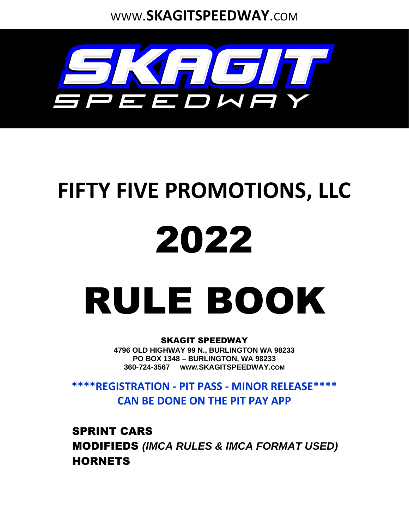WWW.**SKAGITSPEEDWAY**.COM



# **FIFTY FIVE PROMOTIONS, LLC**

# 2022

# RULE BOOK

#### SKAGIT SPEEDWAY

**4796 OLD HIGHWAY 99 N., BURLINGTON WA 98233 PO BOX 1348 – BURLINGTON, WA 98233 360-724-3567 WWW.SKAGITSPEEDWAY.COM**

**\*\*\*\*REGISTRATION - PIT PASS - MINOR RELEASE\*\*\*\* CAN BE DONE ON THE PIT PAY APP**

SPRINT CARS MODIFIEDS *(IMCA RULES & IMCA FORMAT USED)* **HORNETS**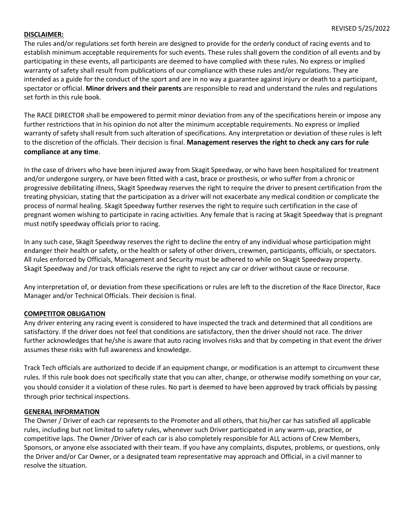#### **DISCLAIMER:**

The rules and/or regulations set forth herein are designed to provide for the orderly conduct of racing events and to establish minimum acceptable requirements for such events. These rules shall govern the condition of all events and by participating in these events, all participants are deemed to have complied with these rules. No express or implied warranty of safety shall result from publications of our compliance with these rules and/or regulations. They are intended as a guide for the conduct of the sport and are in no way a guarantee against injury or death to a participant, spectator or official. **Minor drivers and their parents** are responsible to read and understand the rules and regulations set forth in this rule book.

The RACE DIRECTOR shall be empowered to permit minor deviation from any of the specifications herein or impose any further restrictions that in his opinion do not alter the minimum acceptable requirements. No express or implied warranty of safety shall result from such alteration of specifications. Any interpretation or deviation of these rules is left to the discretion of the officials. Their decision is final. **Management reserves the right to check any cars for rule compliance at any time**.

In the case of drivers who have been injured away from Skagit Speedway, or who have been hospitalized for treatment and/or undergone surgery, or have been fitted with a cast, brace or prosthesis, or who suffer from a chronic or progressive debilitating illness, Skagit Speedway reserves the right to require the driver to present certification from the treating physician, stating that the participation as a driver will not exacerbate any medical condition or complicate the process of normal healing. Skagit Speedway further reserves the right to require such certification in the case of pregnant women wishing to participate in racing activities. Any female that is racing at Skagit Speedway that is pregnant must notify speedway officials prior to racing.

In any such case, Skagit Speedway reserves the right to decline the entry of any individual whose participation might endanger their health or safety, or the health or safety of other drivers, crewmen, participants, officials, or spectators. All rules enforced by Officials, Management and Security must be adhered to while on Skagit Speedway property. Skagit Speedway and /or track officials reserve the right to reject any car or driver without cause or recourse.

Any interpretation of, or deviation from these specifications or rules are left to the discretion of the Race Director, Race Manager and/or Technical Officials. Their decision is final.

#### **COMPETITOR OBLIGATION**

Any driver entering any racing event is considered to have inspected the track and determined that all conditions are satisfactory. If the driver does not feel that conditions are satisfactory, then the driver should not race. The driver further acknowledges that he/she is aware that auto racing involves risks and that by competing in that event the driver assumes these risks with full awareness and knowledge.

Track Tech officials are authorized to decide if an equipment change, or modification is an attempt to circumvent these rules. If this rule book does not specifically state that you can alter, change, or otherwise modify something on your car, you should consider it a violation of these rules. No part is deemed to have been approved by track officials by passing through prior technical inspections.

#### **GENERAL INFORMATION**

The Owner / Driver of each car represents to the Promoter and all others, that his/her car has satisfied all applicable rules, including but not limited to safety rules, whenever such Driver participated in any warm-up, practice, or competitive laps. The Owner /Driver of each car is also completely responsible for ALL actions of Crew Members, Sponsors, or anyone else associated with their team. If you have any complaints, disputes, problems, or questions, only the Driver and/or Car Owner, or a designated team representative may approach and Official, in a civil manner to resolve the situation.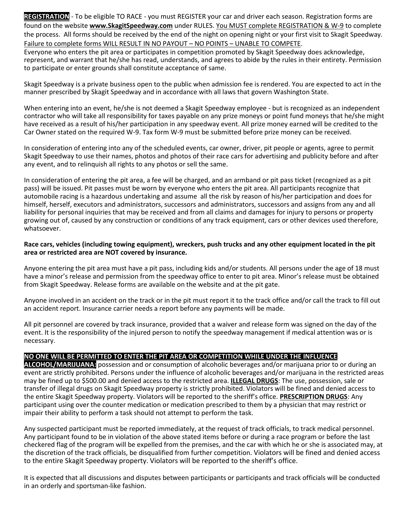**REGISTRATION** - To be eligible TO RACE - you must REGISTER your car and driver each season. Registration forms are found on the website **www.SkagitSpeedway.com** under RULES. You MUST complete REGISTRATION & W-9 to complete the process. All forms should be received by the end of the night on opening night or your first visit to Skagit Speedway. Failure to complete forms WILL RESULT IN NO PAYOUT – NO POINTS – UNABLE TO COMPETE. Everyone who enters the pit area or participates in competition promoted by Skagit Speedway does acknowledge, represent, and warrant that he/she has read, understands, and agrees to abide by the rules in their entirety. Permission

Skagit Speedway is a private business open to the public when admission fee is rendered. You are expected to act in the manner prescribed by Skagit Speedway and in accordance with all laws that govern Washington State.

to participate or enter grounds shall constitute acceptance of same.

When entering into an event, he/she is not deemed a Skagit Speedway employee - but is recognized as an independent contractor who will take all responsibility for taxes payable on any prize moneys or point fund moneys that he/she might have received as a result of his/her participation in any speedway event. All prize money earned will be credited to the Car Owner stated on the required W-9. Tax form W-9 must be submitted before prize money can be received.

In consideration of entering into any of the scheduled events, car owner, driver, pit people or agents, agree to permit Skagit Speedway to use their names, photos and photos of their race cars for advertising and publicity before and after any event, and to relinquish all rights to any photos or sell the same.

In consideration of entering the pit area, a fee will be charged, and an armband or pit pass ticket (recognized as a pit pass) will be issued. Pit passes must be worn by everyone who enters the pit area. All participants recognize that automobile racing is a hazardous undertaking and assume all the risk by reason of his/her participation and does for himself, herself, executors and administrators, successors and administrators, successors and assigns from any and all liability for personal inquiries that may be received and from all claims and damages for injury to persons or property growing out of, caused by any construction or conditions of any track equipment, cars or other devices used therefore, whatsoever.

#### **Race cars, vehicles (including towing equipment), wreckers, push trucks and any other equipment located in the pit area or restricted area are NOT covered by insurance.**

Anyone entering the pit area must have a pit pass, including kids and/or students. All persons under the age of 18 must have a minor's release and permission from the speedway office to enter to pit area. Minor's release must be obtained from Skagit Speedway. Release forms are available on the website and at the pit gate.

Anyone involved in an accident on the track or in the pit must report it to the track office and/or call the track to fill out an accident report. Insurance carrier needs a report before any payments will be made.

All pit personnel are covered by track insurance, provided that a waiver and release form was signed on the day of the event. It is the responsibility of the injured person to notify the speedway management if medical attention was or is necessary.

#### **NO ONE WILL BE PERMITTED TO ENTER THE PIT AREA OR COMPETITION WHILE UNDER THE INFLUENCE**

**ALCOHOL/MARIJUANA:** possession and or consumption of alcoholic beverages and/or marijuana prior to or during an event are strictly prohibited. Persons under the influence of alcoholic beverages and/or marijuana in the restricted areas may be fined up to \$500.00 and denied access to the restricted area. **ILLEGAL DRUGS**: The use, possession, sale or transfer of illegal drugs on Skagit Speedway property is strictly prohibited. Violators will be fined and denied access to the entire Skagit Speedway property. Violators will be reported to the sheriff's office. **PRESCRIPTION DRUGS**: Any participant using over the counter medication or medication prescribed to them by a physician that may restrict or impair their ability to perform a task should not attempt to perform the task.

Any suspected participant must be reported immediately, at the request of track officials, to track medical personnel. Any participant found to be in violation of the above stated items before or during a race program or before the last checkered flag of the program will be expelled from the premises, and the car with which he or she is associated may, at the discretion of the track officials, be disqualified from further competition. Violators will be fined and denied access to the entire Skagit Speedway property. Violators will be reported to the sheriff's office.

It is expected that all discussions and disputes between participants or participants and track officials will be conducted in an orderly and sportsman-like fashion.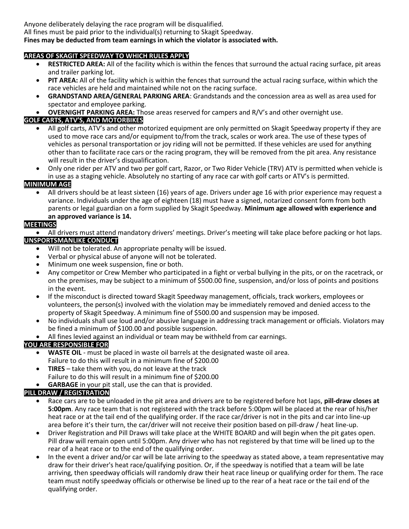Anyone deliberately delaying the race program will be disqualified.

All fines must be paid prior to the individual(s) returning to Skagit Speedway.

#### **Fines may be deducted from team earnings in which the violator is associated with.**

#### **AREAS OF SKAGIT SPEEDWAY TO WHICH RULES APPLY**

- **RESTRICTED AREA:** All of the facility which is within the fences that surround the actual racing surface, pit areas and trailer parking lot.
- **PIT AREA:** All of the facility which is within the fences that surround the actual racing surface, within which the race vehicles are held and maintained while not on the racing surface.
- **GRANDSTAND AREA/GENERAL PARKING AREA**: Grandstands and the concession area as well as area used for spectator and employee parking.
- **OVERNIGHT PARKING AREA:** Those areas reserved for campers and R/V's and other overnight use.

#### **GOLF CARTS, ATV'S, AND MOTORBIKES**

- All golf carts, ATV's and other motorized equipment are only permitted on Skagit Speedway property if they are used to move race cars and/or equipment to/from the track, scales or work area. The use of these types of vehicles as personal transportation or joy riding will not be permitted. If these vehicles are used for anything other than to facilitate race cars or the racing program, they will be removed from the pit area. Any resistance will result in the driver's disqualification.
- Only one rider per ATV and two per golf cart, Razor, or Two Rider Vehicle (TRV) ATV is permitted when vehicle is in use as a staging vehicle. Absolutely no starting of any race car with golf carts or ATV's is permitted.

#### **MINIMUM AGE**

• All drivers should be at least sixteen (16) years of age. Drivers under age 16 with prior experience may request a variance. Individuals under the age of eighteen (18) must have a signed, notarized consent form from both parents or legal guardian on a form supplied by Skagit Speedway. **Minimum age allowed with experience and an approved variance is 14.**

#### **MEETINGS**

• All drivers must attend mandatory drivers' meetings. Driver's meeting will take place before packing or hot laps.

#### **UNSPORTSMANLIKE CONDUCT**

- Will not be tolerated. An appropriate penalty will be issued.
- Verbal or physical abuse of anyone will not be tolerated.
- Minimum one week suspension, fine or both.
- Any competitor or Crew Member who participated in a fight or verbal bullying in the pits, or on the racetrack, or on the premises, may be subject to a minimum of \$500.00 fine, suspension, and/or loss of points and positions in the event.
- If the misconduct is directed toward Skagit Speedway management, officials, track workers, employees or volunteers, the person(s) involved with the violation may be immediately removed and denied access to the property of Skagit Speedway. A minimum fine of \$500.00 and suspension may be imposed.
- No individuals shall use loud and/or abusive language in addressing track management or officials. Violators may be fined a minimum of \$100.00 and possible suspension.
- All fines levied against an individual or team may be withheld from car earnings.

#### **YOU ARE RESPONSIBLE FOR**

- **WASTE OIL** must be placed in waste oil barrels at the designated waste oil area. Failure to do this will result in a minimum fine of \$200.00
- **TIRES** take them with you, do not leave at the track
- Failure to do this will result in a minimum fine of \$200.00
- **GARBAGE** in your pit stall, use the can that is provided.

#### **PILL DRAW / REGISTRATION**

- Race cars are to be unloaded in the pit area and drivers are to be registered before hot laps, **pill-draw closes at 5:00pm**. Any race team that is not registered with the track before 5:00pm will be placed at the rear of his/her heat race or at the tail end of the qualifying order. If the race car/driver is not in the pits and car into line-up area before it's their turn, the car/driver will not receive their position based on pill-draw / heat line-up.
- Driver Registration and Pill Draws will take place at the WHITE BOARD and will begin when the pit gates open. Pill draw will remain open until 5:00pm. Any driver who has not registered by that time will be lined up to the rear of a heat race or to the end of the qualifying order.
- In the event a driver and/or car will be late arriving to the speedway as stated above, a team representative may draw for their driver's heat race/qualifying position. Or, if the speedway is notified that a team will be late arriving, then speedway officials will randomly draw their heat race lineup or qualifying order for them. The race team must notify speedway officials or otherwise be lined up to the rear of a heat race or the tail end of the qualifying order.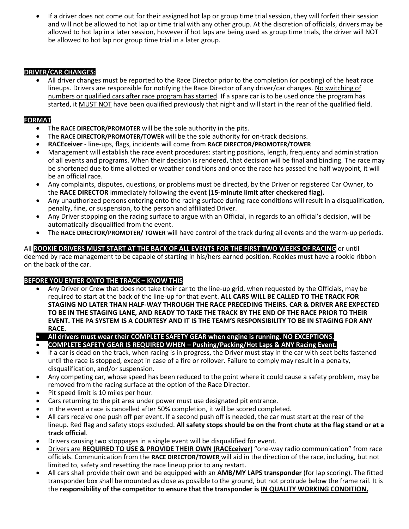If a driver does not come out for their assigned hot lap or group time trial session, they will forfeit their session and will not be allowed to hot lap or time trial with any other group. At the discretion of officials, drivers may be allowed to hot lap in a later session, however if hot laps are being used as group time trials, the driver will NOT be allowed to hot lap nor group time trial in a later group.

#### **DRIVER/CAR CHANGES:**

• All driver changes must be reported to the Race Director prior to the completion (or posting) of the heat race lineups. Drivers are responsible for notifying the Race Director of any driver/car changes. No switching of numbers or qualified cars after race program has started. If a spare car is to be used once the program has started, it MUST NOT have been qualified previously that night and will start in the rear of the qualified field.

#### **FORMAT**

- The **RACE DIRECTOR/PROMOTER** will be the sole authority in the pits.
- The **RACE DIRECTOR/PROMOTER/TOWER** will be the sole authority for on-track decisions.
- **RACEceiver** line-ups, flags, incidents will come from **RACE DIRECTOR/PROMOTER/TOWER**
- Management will establish the race event procedures: starting positions, length, frequency and administration of all events and programs. When their decision is rendered, that decision will be final and binding. The race may be shortened due to time allotted or weather conditions and once the race has passed the half waypoint, it will be an official race.
- Any complaints, disputes, questions, or problems must be directed, by the Driver or registered Car Owner, to the **RACE DIRECTOR** immediately following the event **(15-minute limit after checkered flag).**
- Any unauthorized persons entering onto the racing surface during race conditions will result in a disqualification, penalty, fine, or suspension, to the person and affiliated Driver.
- Any Driver stopping on the racing surface to argue with an Official, in regards to an official's decision, will be automatically disqualified from the event.
- The **RACE DIRECTOR/PROMOTER/ TOWER** will have control of the track during all events and the warm-up periods.

#### All **ROOKIE DRIVERS MUST START AT THE BACK OF ALL EVENTS FOR THE FIRST TWO WEEKS OF RACING** or until deemed by race management to be capable of starting in his/hers earned position. Rookies must have a rookie ribbon on the back of the car.

#### **BEFORE YOU ENTER ONTO THE TRACK – KNOW THIS**

- Any Driver or Crew that does not take their car to the line-up grid, when requested by the Officials, may be required to start at the back of the line-up for that event. **ALL CARS WILL BE CALLED TO THE TRACK FOR STAGING NO LATER THAN HALF-WAY THROUGH THE RACE PRECEDING THEIRS. CAR & DRIVER ARE EXPECTED TO BE IN THE STAGING LANE, AND READY TO TAKE THE TRACK BY THE END OF THE RACE PRIOR TO THEIR EVENT. THE PA SYSTEM IS A COURTESY AND IT IS THE TEAM'S RESPONSIBILITY TO BE IN STAGING FOR ANY RACE.**
- **All drivers must wear their COMPLETE SAFETY GEAR when engine is running. NO EXCEPTIONS.**
- **COMPLETE SAFETY GEAR IS REQUIRED WHEN – Pushing/Packing/Hot Laps & ANY Racing Event.**
- If a car is dead on the track, when racing is in progress, the Driver must stay in the car with seat belts fastened until the race is stopped, except in case of a fire or rollover. Failure to comply may result in a penalty, disqualification, and/or suspension.
- Any competing car, whose speed has been reduced to the point where it could cause a safety problem, may be removed from the racing surface at the option of the Race Director.
- Pit speed limit is 10 miles per hour.
- Cars returning to the pit area under power must use designated pit entrance.
- In the event a race is cancelled after 50% completion, it will be scored completed.
- All cars receive one push off per event. If a second push off is needed, the car must start at the rear of the lineup. Red flag and safety stops excluded. **All safety stops should be on the front chute at the flag stand or at a track official**.
- Drivers causing two stoppages in a single event will be disqualified for event.
- Drivers are **REQUIRED TO USE & PROVIDE THEIR OWN (RACEceiver)** "one-way radio communication" from race officials. Communication from the **RACE DIRECTOR/TOWER** will aid in the direction of the race, including, but not limited to, safety and resetting the race lineup prior to any restart.
- All cars shall provide their own and be equipped with an **AMB/MY LAPS transponder** (for lap scoring). The fitted transponder box shall be mounted as close as possible to the ground, but not protrude below the frame rail. It is the **responsibility of the competitor to ensure that the transponder is IN QUALITY WORKING CONDITION,**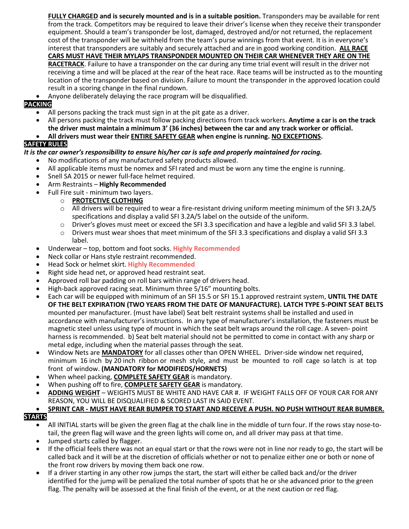**FULLY CHARGED and is securely mounted and is in a suitable position.** Transponders may be available for rent from the track. Competitors may be required to leave their driver's license when they receive their transponder equipment. Should a team's transponder be lost, damaged, destroyed and/or not returned, the replacement cost of the transponder will be withheld from the team's purse winnings from that event. It is in everyone's interest that transponders are suitably and securely attached and are in good working condition. **ALL RACE CARS MUST HAVE THEIR MYLAPS TRANSPONDER MOUNTED ON THEIR CAR WHENEVER THEY ARE ON THE RACETRACK**. Failure to have a transponder on the car during any time trial event will result in the driver not receiving a time and will be placed at the rear of the heat race. Race teams will be instructed as to the mounting location of the transponder based on division. Failure to mount the transponder in the approved location could result in a scoring change in the final rundown.

• Anyone deliberately delaying the race program will be disqualified.

#### **PACKING**

- All persons packing the track must sign in at the pit gate as a driver.
- All persons packing the track must follow packing directions from track workers. **Anytime a car is on the track the driver must maintain a minimum 3' (36 inches) between the car and any track worker or official.**

#### • **All drivers must wear their ENTIRE SAFETY GEAR when engine is running. NO EXCEPTIONS.**

#### **SAFETY RULES**

#### *It is the car owner's responsibility to ensure his/her car is safe and properly maintained for racing.*

- No modifications of any manufactured safety products allowed.
- All applicable items must be nomex and SFI rated and must be worn any time the engine is running.
- Snell SA 2015 or newer full-face helmet required.
- Arm Restraints **Highly Recommended**
- Full Fire suit minimum two layers.
	- o **PROTECTIVE CLOTHING**
	- o All drivers will be required to wear a fire-resistant driving uniform meeting minimum of the SFI 3.2A/5 specifications and display a valid SFI 3.2A/5 label on the outside of the uniform.
	- $\circ$  Driver's gloves must meet or exceed the SFI 3.3 specification and have a legible and valid SFI 3.3 label.
	- $\circ$  Drivers must wear shoes that meet minimum of the SFI 3.3 specifications and display a valid SFI 3.3 label.
- Underwear top, bottom and foot socks. **Highly Recommended**
- Neck collar or Hans style restraint recommended.
- Head Sock or helmet skirt. **Highly Recommended**
- Right side head net, or approved head restraint seat.
- Approved roll bar padding on roll bars within range of drivers head.
- High-back approved racing seat. Minimum three 5/16" mounting bolts.
- Each car will be equipped with minimum of an SFI 15.5 or SFI 15.1 approved restraint system, **UNTIL THE DATE OF THE BELT EXPIRATION (TWO YEARS FROM THE DATE OF MANUFACTURE). LATCH TYPE 5-POINT SEAT BELTS** mounted per manufacturer. (must have label) Seat belt restraint systems shall be installed and used in accordance with manufacturer's instructions. In any type of manufacturer's installation, the fasteners must be magnetic steel unless using type of mount in which the seat belt wraps around the roll cage. A seven- point harness is recommended. b) Seat belt material should not be permitted to come in contact with any sharp or metal edge, including when the material passes through the seat.
- Window Nets are **MANDATORY** for all classes other than OPEN WHEEL. Driver-side window net required, minimum 16 inch by 20 inch ribbon or mesh style, and must be mounted to roll cage so latch is at top front of window. **(MANDATORY for MODIFIEDS/HORNETS)**
- When wheel packing, **COMPLETE SAFETY GEAR** is mandatory.
- When pushing off to fire, **COMPLETE SAFETY GEAR** is mandatory.
- **ADDING WEIGHT** WEIGHTS MUST BE WHITE AND HAVE CAR #. IF WEIGHT FALLS OFF OF YOUR CAR FOR ANY REASON, YOU WILL BE DISQUALIFIED & SCORED LAST IN SAID EVENT.

#### • **SPRINT CAR - MUST HAVE REAR BUMPER TO START AND RECEIVE A PUSH. NO PUSH WITHOUT REAR BUMBER.**

#### **STARTS**

- All INITIAL starts will be given the green flag at the chalk line in the middle of turn four. If the rows stay nose-totail, the green flag will wave and the green lights will come on, and all driver may pass at that time.
- Jumped starts called by flagger.
- If the official feels there was not an equal start or that the rows were not in line nor ready to go, the start will be called back and it will be at the discretion of officials whether or not to penalize either one or both or none of the front row drivers by moving them back one row.
- If a driver starting in any other row jumps the start, the start will either be called back and/or the driver identified for the jump will be penalized the total number of spots that he or she advanced prior to the green flag. The penalty will be assessed at the final finish of the event, or at the next caution or red flag.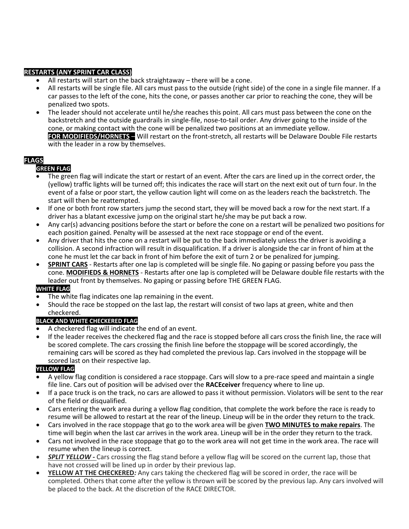#### **RESTARTS (ANY SPRINT CAR CLASS)**

- All restarts will start on the back straightaway there will be a cone.
- All restarts will be single file. All cars must pass to the outside (right side) of the cone in a single file manner. If a car passes to the left of the cone, hits the cone, or passes another car prior to reaching the cone, they will be penalized two spots.
- The leader should not accelerate until he/she reaches this point. All cars must pass between the cone on the backstretch and the outside guardrails in single-file, nose-to-tail order. Any driver going to the inside of the cone, or making contact with the cone will be penalized two positions at an immediate yellow. • **FOR MODIFIEDS/HORNETS** – Will restart on the front-stretch, all restarts will be Delaware Double File restarts with the leader in a row by themselves.

#### **FLAGS**

#### **GREEN FLAG**

- The green flag will indicate the start or restart of an event. After the cars are lined up in the correct order, the (yellow) traffic lights will be turned off; this indicates the race will start on the next exit out of turn four. In the event of a false or poor start, the yellow caution light will come on as the leaders reach the backstretch. The start will then be reattempted.
- If one or both front row starters jump the second start, they will be moved back a row for the next start. If a driver has a blatant excessive jump on the original start he/she may be put back a row.
- Any car(s) advancing positions before the start or before the cone on a restart will be penalized two positions for each position gained. Penalty will be assessed at the next race stoppage or end of the event.
- Any driver that hits the cone on a restart will be put to the back immediately unless the driver is avoiding a collision. A second infraction will result in disqualification. If a driver is alongside the car in front of him at the cone he must let the car back in front of him before the exit of turn 2 or be penalized for jumping.
- **SPRINT CARS** Restarts after one lap is completed will be single file. No gaping or passing before you pass the cone. **MODIFIEDS & HORNETS** - Restarts after one lap is completed will be Delaware double file restarts with the leader out front by themselves. No gaping or passing before THE GREEN FLAG.

#### **WHITE FLAG**

- The white flag indicates one lap remaining in the event.
- Should the race be stopped on the last lap, the restart will consist of two laps at green, white and then checkered.

#### **BLACK AND WHITE CHECKERED FLAG**

- A checkered flag will indicate the end of an event.
- If the leader receives the checkered flag and the race is stopped before all cars cross the finish line, the race will be scored complete. The cars crossing the finish line before the stoppage will be scored accordingly, the remaining cars will be scored as they had completed the previous lap. Cars involved in the stoppage will be scored last on their respective lap.

#### **YELLOW FLAG**

- A yellow flag condition is considered a race stoppage. Cars will slow to a pre-race speed and maintain a single file line. Cars out of position will be advised over the **RACEceiver** frequency where to line up.
- If a pace truck is on the track, no cars are allowed to pass it without permission. Violators will be sent to the rear of the field or disqualified.
- Cars entering the work area during a yellow flag condition, that complete the work before the race is ready to resume will be allowed to restart at the rear of the lineup. Lineup will be in the order they return to the track.
- Cars involved in the race stoppage that go to the work area will be given **TWO MINUTES to make repairs**. The time will begin when the last car arrives in the work area. Lineup will be in the order they return to the track.
- Cars not involved in the race stoppage that go to the work area will not get time in the work area. The race will resume when the lineup is correct.
- *SPLIT YELLOW -* Cars crossing the flag stand before a yellow flag will be scored on the current lap, those that have not crossed will be lined up in order by their previous lap.
- **YELLOW AT THE CHECKERED***:* Any cars taking the checkered flag will be scored in order, the race will be completed. Others that come after the yellow is thrown will be scored by the previous lap. Any cars involved will be placed to the back. At the discretion of the RACE DIRECTOR.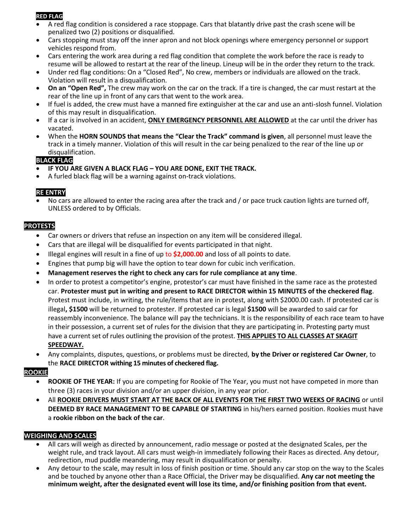#### **RED FLAG**

- A red flag condition is considered a race stoppage. Cars that blatantly drive past the crash scene will be penalized two (2) positions or disqualified.
- Cars stopping must stay off the inner apron and not block openings where emergency personnel or support vehicles respond from.
- Cars entering the work area during a red flag condition that complete the work before the race is ready to resume will be allowed to restart at the rear of the lineup. Lineup will be in the order they return to the track.
- Under red flag conditions: On a "Closed Red", No crew, members or individuals are allowed on the track. Violation will result in a disqualification.
- **On an "Open Red",** The crew may work on the car on the track. If a tire is changed, the car must restart at the rear of the line up in front of any cars that went to the work area.
- If fuel is added, the crew must have a manned fire extinguisher at the car and use an anti-slosh funnel. Violation of this may result in disqualification.
- If a car is involved in an accident, **ONLY EMERGENCY PERSONNEL ARE ALLOWED** at the car until the driver has vacated.
- When the **HORN SOUNDS that means the "Clear the Track" command is given**, all personnel must leave the track in a timely manner. Violation of this will result in the car being penalized to the rear of the line up or disqualification.

#### **BLACK FLAG**

- **IF YOU ARE GIVEN A BLACK FLAG – YOU ARE DONE, EXIT THE TRACK.**
- A furled black flag will be a warning against on-track violations.

#### **RE ENTRY**

No cars are allowed to enter the racing area after the track and / or pace truck caution lights are turned off, UNLESS ordered to by Officials.

#### **PROTESTS**

- Car owners or drivers that refuse an inspection on any item will be considered illegal.
- Cars that are illegal will be disqualified for events participated in that night.
- Illegal engines will result in a fine of up to **\$2,000.00** and loss of all points to date.
- Engines that pump big will have the option to tear down for cubic inch verification.
- **Management reserves the right to check any cars for rule compliance at any time**.
- In order to protest a competitor's engine, protestor's car must have finished in the same race as the protested car. **Protester must put in writing and present to RACE DIRECTOR within 15 MINUTES of the checkered flag**. Protest must include, in writing, the rule/items that are in protest, along with \$2000.00 cash. If protested car is illegal**, \$1500** will be returned to protester. If protested car is legal **\$1500** will be awarded to said car for reassembly inconvenience. The balance will pay the technicians. It is the responsibility of each race team to have in their possession, a current set of rules for the division that they are participating in. Protesting party must have a current set of rules outlining the provision of the protest. **THIS APPLIES TO ALL CLASSES AT SKAGIT SPEEDWAY.**
- Any complaints, disputes, questions, or problems must be directed, **by the Driver or registered Car Owner**, to the **RACE DIRECTOR withing 15 minutes of checkered flag.**

#### **ROOKIE**

- **ROOKIE OF THE YEAR:** If you are competing for Rookie of The Year, you must not have competed in more than three (3) races in your division and/or an upper division, in any year prior.
- All **ROOKIE DRIVERS MUST START AT THE BACK OF ALL EVENTS FOR THE FIRST TWO WEEKS OF RACING** or until **DEEMED BY RACE MANAGEMENT TO BE CAPABLE OF STARTING** in his/hers earned position. Rookies must have a **rookie ribbon on the back of the car**.

#### **WEIGHING AND SCALES**

- All cars will weigh as directed by announcement, radio message or posted at the designated Scales, per the weight rule, and track layout. All cars must weigh-in immediately following their Races as directed. Any detour, redirection, mud puddle meandering, may result in disqualification or penalty.
- Any detour to the scale, may result in loss of finish position or time. Should any car stop on the way to the Scales and be touched by anyone other than a Race Official, the Driver may be disqualified. **Any car not meeting the minimum weight, after the designated event will lose its time, and/or finishing position from that event.**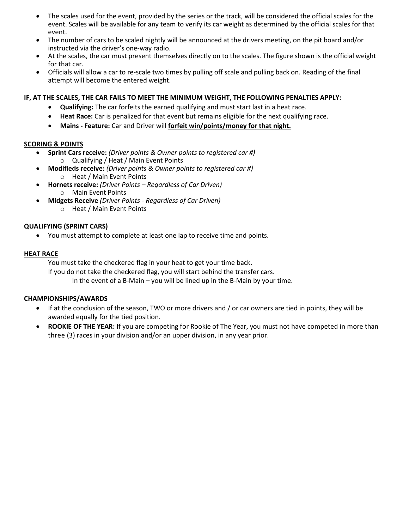- The scales used for the event, provided by the series or the track, will be considered the official scales for the event. Scales will be available for any team to verify its car weight as determined by the official scales for that event.
- The number of cars to be scaled nightly will be announced at the drivers meeting, on the pit board and/or instructed via the driver's one-way radio.
- At the scales, the car must present themselves directly on to the scales. The figure shown is the official weight for that car.
- Officials will allow a car to re-scale two times by pulling off scale and pulling back on. Reading of the final attempt will become the entered weight.

#### **IF, AT THE SCALES, THE CAR FAILS TO MEET THE MINIMUM WEIGHT, THE FOLLOWING PENALTIES APPLY:**

- **Qualifying:** The car forfeits the earned qualifying and must start last in a heat race.
- **Heat Race:** Car is penalized for that event but remains eligible for the next qualifying race.
- **Mains - Feature:** Car and Driver will **forfeit win/points/money for that night.**

#### **SCORING & POINTS**

- **Sprint Cars receive:** *(Driver points & Owner points to registered car #)*
	- o Qualifying / Heat / Main Event Points
- **Modifieds receive:** *(Driver points & Owner points to registered car #)* o Heat / Main Event Points
- **Hornets receive:** *(Driver Points – Regardless of Car Driven)*
	- o Main Event Points
- **Midgets Receive** *(Driver Points - Regardless of Car Driven)*
	- o Heat / Main Event Points

#### **QUALIFYING (SPRINT CARS)**

• You must attempt to complete at least one lap to receive time and points.

#### **HEAT RACE**

You must take the checkered flag in your heat to get your time back. If you do not take the checkered flag, you will start behind the transfer cars. In the event of a B-Main – you will be lined up in the B-Main by your time.

#### **CHAMPIONSHIPS/AWARDS**

- If at the conclusion of the season, TWO or more drivers and / or car owners are tied in points, they will be awarded equally for the tied position.
- **ROOKIE OF THE YEAR:** If you are competing for Rookie of The Year, you must not have competed in more than three (3) races in your division and/or an upper division, in any year prior.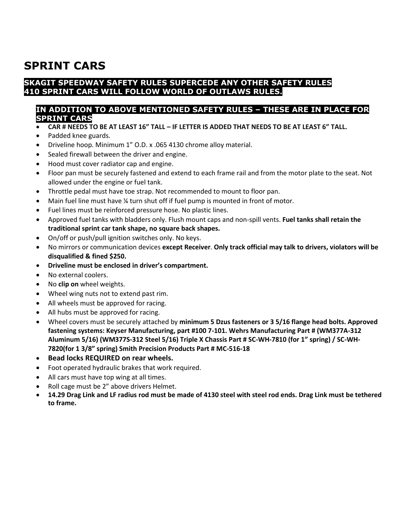### **SPRINT CARS**

#### **SKAGIT SPEEDWAY SAFETY RULES SUPERCEDE ANY OTHER SAFETY RULES 410 SPRINT CARS WILL FOLLOW WORLD OF OUTLAWS RULES.**

#### **IN ADDITION TO ABOVE MENTIONED SAFETY RULES – THESE ARE IN PLACE FOR SPRINT CARS**

- **CAR # NEEDS TO BE AT LEAST 16" TALL – IF LETTER IS ADDED THAT NEEDS TO BE AT LEAST 6" TALL.**
- Padded knee guards.
- Driveline hoop. Minimum 1" O.D. x .065 4130 chrome alloy material.
- Sealed firewall between the driver and engine.
- Hood must cover radiator cap and engine.
- Floor pan must be securely fastened and extend to each frame rail and from the motor plate to the seat. Not allowed under the engine or fuel tank.
- Throttle pedal must have toe strap. Not recommended to mount to floor pan.
- Main fuel line must have <sup>1</sup>/<sub>4</sub> turn shut off if fuel pump is mounted in front of motor.
- Fuel lines must be reinforced pressure hose. No plastic lines.
- Approved fuel tanks with bladders only. Flush mount caps and non-spill vents. **Fuel tanks shall retain the traditional sprint car tank shape, no square back shapes.**
- On/off or push/pull ignition switches only. No keys.
- No mirrors or communication devices **except Receiver**. **Only track official may talk to drivers, violators will be disqualified & fined \$250.**
- **Driveline must be enclosed in driver's compartment.**
- No external coolers.
- No **clip on** wheel weights.
- Wheel wing nuts not to extend past rim.
- All wheels must be approved for racing.
- All hubs must be approved for racing.
- Wheel covers must be securely attached by **minimum 5 Dzus fasteners or 3 5/16 flange head bolts. Approved fastening systems: Keyser Manufacturing, part #100 7-101. Wehrs Manufacturing Part # (WM377A-312 Aluminum 5/16) (WM377S-312 Steel 5/16) Triple X Chassis Part # SC-WH-7810 (for 1" spring) / SC-WH-7820(for 1 3/8" spring) Smith Precision Products Part # MC-516-18**
- **Bead locks REQUIRED on rear wheels.**
- Foot operated hydraulic brakes that work required.
- All cars must have top wing at all times.
- Roll cage must be 2" above drivers Helmet.
- **14.29 Drag Link and LF radius rod must be made of 4130 steel with steel rod ends. Drag Link must be tethered to frame.**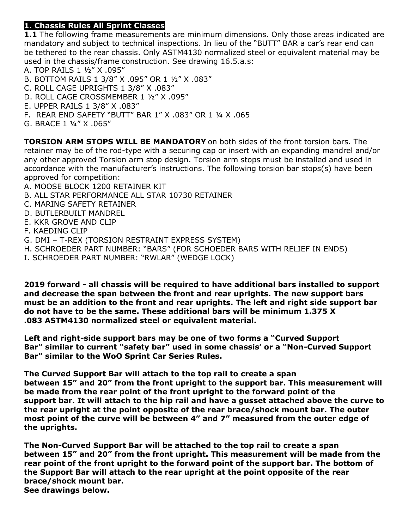#### **1. Chassis Rules All Sprint Classes**

**1.1** The following frame measurements are minimum dimensions. Only those areas indicated are mandatory and subject to technical inspections. In lieu of the "BUTT" BAR a car's rear end can be tethered to the rear chassis. Only ASTM4130 normalized steel or equivalent material may be used in the chassis/frame construction. See drawing 16.5.a.s:

- A. TOP RAILS 1 ½" X .095"
- B. BOTTOM RAILS 1 3/8" X .095" OR 1 ½" X .083"
- C. ROLL CAGE UPRIGHTS 1 3/8" X .083"
- D. ROLL CAGE CROSSMEMBER 1 ½" X .095"
- E. UPPER RAILS 1 3/8" X .083"
- F. REAR END SAFETY "BUTT" BAR 1" X .083" OR 1 ¼ X .065
- G. BRACE 1 ¼" X .065"

**TORSION ARM STOPS WILL BE MANDATORY** on both sides of the front torsion bars. The retainer may be of the rod-type with a securing cap or insert with an expanding mandrel and/or any other approved Torsion arm stop design. Torsion arm stops must be installed and used in accordance with the manufacturer's instructions. The following torsion bar stops(s) have been approved for competition:

- A. MOOSE BLOCK 1200 RETAINER KIT
- B. ALL STAR PERFORMANCE ALL STAR 10730 RETAINER
- C. MARING SAFETY RETAINER
- D. BUTLERBUILT MANDREL
- E. KKR GROVE AND CLIP
- F. KAEDING CLIP
- G. DMI T-REX (TORSION RESTRAINT EXPRESS SYSTEM)
- H. SCHROEDER PART NUMBER: "BARS" (FOR SCHOEDER BARS WITH RELIEF IN ENDS)
- I. SCHROEDER PART NUMBER: "RWLAR" (WEDGE LOCK)

**2019 forward - all chassis will be required to have additional bars installed to support and decrease the span between the front and rear uprights. The new support bars must be an addition to the front and rear uprights. The left and right side support bar do not have to be the same. These additional bars will be minimum 1.375 X .083 ASTM4130 normalized steel or equivalent material.**

**Left and right-side support bars may be one of two forms a "Curved Support Bar" similar to current "safety bar" used in some chassis' or a "Non-Curved Support Bar" similar to the WoO Sprint Car Series Rules.**

**The Curved Support Bar will attach to the top rail to create a span between 15" and 20" from the front upright to the support bar. This measurement will be made from the rear point of the front upright to the forward point of the support bar. It will attach to the hip rail and have a gusset attached above the curve to the rear upright at the point opposite of the rear brace/shock mount bar. The outer most point of the curve will be between 4" and 7" measured from the outer edge of the uprights.**

**The Non-Curved Support Bar will be attached to the top rail to create a span between 15" and 20" from the front upright. This measurement will be made from the rear point of the front upright to the forward point of the support bar. The bottom of the Support Bar will attach to the rear upright at the point opposite of the rear brace/shock mount bar. See drawings below.**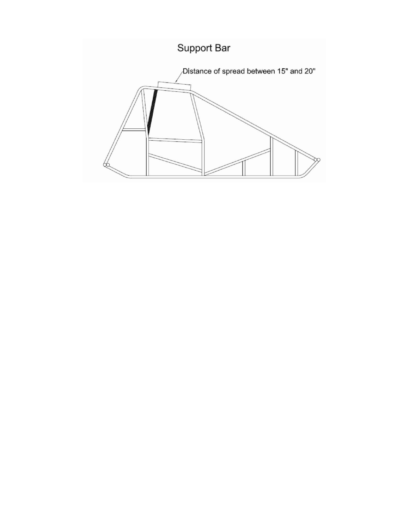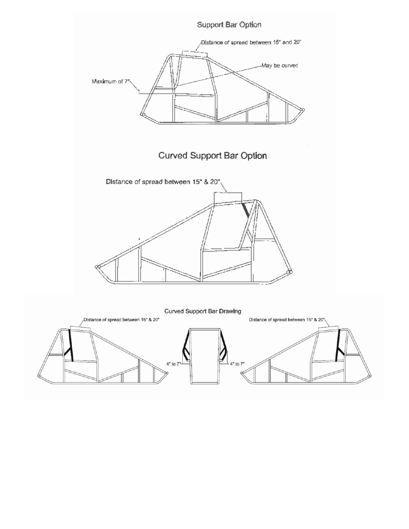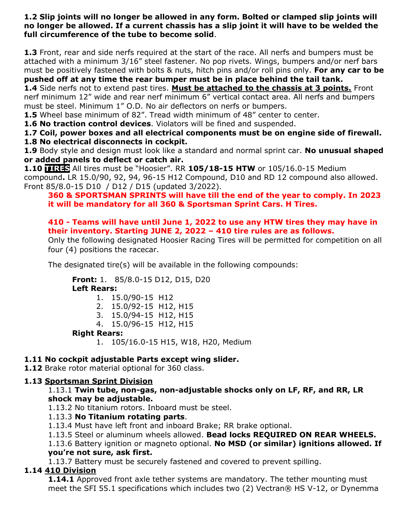**1.2 Slip joints will no longer be allowed in any form. Bolted or clamped slip joints will no longer be allowed. If a current chassis has a slip joint it will have to be welded the full circumference of the tube to become solid**.

**1.3** Front, rear and side nerfs required at the start of the race. All nerfs and bumpers must be attached with a minimum 3/16" steel fastener. No pop rivets. Wings, bumpers and/or nerf bars must be positively fastened with bolts & nuts, hitch pins and/or roll pins only. **For any car to be pushed off at any time the rear bumper must be in place behind the tail tank.**

**1.4** Side nerfs not to extend past tires. **Must be attached to the chassis at 3 points.** Front nerf minimum 12" wide and rear nerf minimum 6" vertical contact area. All nerfs and bumpers must be steel. Minimum 1" O.D. No air deflectors on nerfs or bumpers.

**1.5** Wheel base minimum of 82". Tread width minimum of 48" center to center.

**1.6 No traction control devices**. Violators will be fined and suspended.

**1.7 Coil, power boxes and all electrical components must be on engine side of firewall.** 

**1.8 No electrical disconnects in cockpit.** 

**1.9** Body style and design must look like a standard and normal sprint car. **No unusual shaped or added panels to deflect or catch air.** 

**1.10 TIRES** All tires must be "Hoosier". RR **105/18-15 HTW** or 105/16.0-15 Medium compound**.** LR 15.0/90, 92, 94, 96-15 H12 Compound, D10 and RD 12 compound also allowed. Front 85/8.0-15 D10 / D12 / D15 (updated 3/2022).

#### **360 & SPORTSMAN SPRINTS will have till the end of the year to comply. In 2023 it will be mandatory for all 360 & Sportsman Sprint Cars. H Tires.**

#### **410 - Teams will have until June 1, 2022 to use any HTW tires they may have in their inventory. Starting JUNE 2, 2022 – 410 tire rules are as follows.**

Only the following designated Hoosier Racing Tires will be permitted for competition on all four (4) positions the racecar.

The designated tire(s) will be available in the following compounds:

**Front:** 1. 85/8.0-15 D12, D15, D20

**Left Rears:** 

- 1. 15.0/90-15 H12
- 2. 15.0/92-15 H12, H15
- 3. 15.0/94-15 H12, H15
- 4. 15.0/96-15 H12, H15

#### **Right Rears:**

1. 105/16.0-15 H15, W18, H20, Medium

#### **1.11 No cockpit adjustable Parts except wing slider.**

**1.12** Brake rotor material optional for 360 class.

#### **1.13 Sportsman Sprint Division**

#### 1.13.1 **Twin tube, non-gas, non-adjustable shocks only on LF, RF, and RR, LR shock may be adjustable.**

1.13.2 No titanium rotors. Inboard must be steel.

#### 1.13.3 **No Titanium rotating parts**.

1.13.4 Must have left front and inboard Brake; RR brake optional.

1.13.5 Steel or aluminum wheels allowed. **Bead locks REQUIRED ON REAR WHEELS.**

1.13.6 Battery ignition or magneto optional. **No MSD (or similar) ignitions allowed. If you're not sure, ask first.** 

1.13.7 Battery must be securely fastened and covered to prevent spilling.

#### **1.14 410 Division**

**1.14.1** Approved front axle tether systems are mandatory. The tether mounting must meet the SFI 55.1 specifications which includes two (2) Vectran® HS V-12, or Dynemma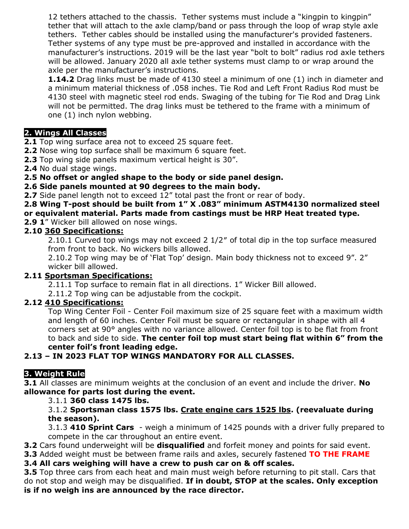12 tethers attached to the chassis. Tether systems must include a "kingpin to kingpin" tether that will attach to the axle clamp/band or pass through the loop of wrap style axle tethers. Tether cables should be installed using the manufacturer's provided fasteners. Tether systems of any type must be pre-approved and installed in accordance with the manufacturer's instructions. 2019 will be the last year "bolt to bolt" radius rod axle tethers will be allowed. January 2020 all axle tether systems must clamp to or wrap around the axle per the manufacturer's instructions.

**1.14.2** Drag links must be made of 4130 steel a minimum of one (1) inch in diameter and a minimum material thickness of .058 inches. Tie Rod and Left Front Radius Rod must be 4130 steel with magnetic steel rod ends. Swaging of the tubing for Tie Rod and Drag Link will not be permitted. The drag links must be tethered to the frame with a minimum of one (1) inch nylon webbing.

#### **2. Wings All Classes**

**2.1** Top wing surface area not to exceed 25 square feet.

**2.2** Nose wing top surface shall be maximum 6 square feet.

**2.3** Top wing side panels maximum vertical height is 30".

**2.4** No dual stage wings.

#### **2.5 No offset or angled shape to the body or side panel design.**

**2.6 Side panels mounted at 90 degrees to the main body.** 

**2.7** Side panel length not to exceed 12" total past the front or rear of body.

**2.8 Wing T-post should be built from 1" X .083" minimum ASTM4130 normalized steel or equivalent material. Parts made from castings must be HRP Heat treated type. 2.9 1**" Wicker bill allowed on nose wings.

#### **2.10 360 Specifications:**

2.10.1 Curved top wings may not exceed 2 1/2″ of total dip in the top surface measured from front to back. No wickers bills allowed.

2.10.2 Top wing may be of 'Flat Top' design. Main body thickness not to exceed 9". 2" wicker bill allowed.

#### **2.11 Sportsman Specifications:**

2.11.1 Top surface to remain flat in all directions. 1" Wicker Bill allowed.

2.11.2 Top wing can be adjustable from the cockpit.

#### **2.12 410 Specifications:**

Top Wing Center Foil - Center Foil maximum size of 25 square feet with a maximum width and length of 60 inches. Center Foil must be square or rectangular in shape with all 4 corners set at 90° angles with no variance allowed. Center foil top is to be flat from front to back and side to side. **The center foil top must start being flat within 6" from the center foil's front leading edge.**

#### **2.13 – IN 2023 FLAT TOP WINGS MANDATORY FOR ALL CLASSES.**

#### **3. Weight Rule**

**3.1** All classes are minimum weights at the conclusion of an event and include the driver. **No allowance for parts lost during the event.** 

#### 3.1.1 **360 class 1475 lbs.**

3.1.2 **Sportsman class 1575 lbs. Crate engine cars 1525 lbs. (reevaluate during the season).**

3.1.3 **410 Sprint Cars** - weigh a minimum of 1425 pounds with a driver fully prepared to compete in the car throughout an entire event.

**3.2** Cars found underweight will be **disqualified** and forfeit money and points for said event.

**3.3** Added weight must be between frame rails and axles, securely fastened **TO THE FRAME**

**3.4 All cars weighing will have a crew to push car on & off scales.** 

**3.5** Top three cars from each heat and main must weigh before returning to pit stall. Cars that do not stop and weigh may be disqualified. **If in doubt, STOP at the scales. Only exception is if no weigh ins are announced by the race director.**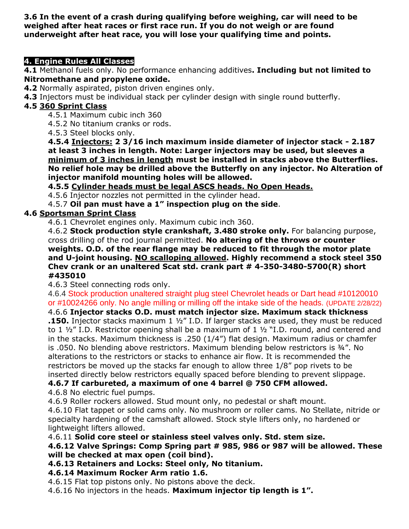**3.6 In the event of a crash during qualifying before weighing, car will need to be weighed after heat races or first race run. If you do not weigh or are found underweight after heat race, you will lose your qualifying time and points.** 

#### **4. Engine Rules All Classes**

**4.1** Methanol fuels only. No performance enhancing additives**. Including but not limited to Nitromethane and propylene oxide.**

- **4.2** Normally aspirated, piston driven engines only.
- **4.3** Injectors must be individual stack per cylinder design with single round butterfly.

#### **4.5 360 Sprint Class**

- 4.5.1 Maximum cubic inch 360
- 4.5.2 No titanium cranks or rods.
- 4.5.3 Steel blocks only.

**4.5.4 Injectors: 2 3/16 inch maximum inside diameter of injector stack - 2.187 at least 3 inches in length. Note: Larger injectors may be used, but sleeves a minimum of 3 inches in length must be installed in stacks above the Butterflies. No relief hole may be drilled above the Butterfly on any injector. No Alteration of injector manifold mounting holes will be allowed.**

**4.5.5 Cylinder heads must be legal ASCS heads. No Open Heads.**

4.5.6 Injector nozzles not permitted in the cylinder head.

4.5.7 **Oil pan must have a 1" inspection plug on the side**.

#### **4.6 Sportsman Sprint Class**

4.6.1 Chevrolet engines only. Maximum cubic inch 360.

4.6.2 **Stock production style crankshaft, 3.480 stroke only.** For balancing purpose, cross drilling of the rod journal permitted. **No altering of the throws or counter weights. O.D. of the rear flange may be reduced to fit through the motor plate and U-joint housing. NO scalloping allowed. Highly recommend a stock steel 350 Chev crank or an unaltered Scat std. crank part # 4-350-3480-5700(R) short #435010**

4.6.3 Steel connecting rods only.

4.6.4 Stock production unaltered straight plug steel Chevrolet heads or Dart head #10120010 or #10024266 only. No angle milling or milling off the intake side of the heads. (UPDATE 2/28/22)

#### 4.6.6 **Injector stacks O.D. must match injector size. Maximum stack thickness**

**.150.** Injector stacks maximum 1 ½" I.D. If larger stacks are used, they must be reduced to 1  $\frac{1}{2}$  I.D. Restrictor opening shall be a maximum of 1  $\frac{1}{2}$  "I.D. round, and centered and in the stacks. Maximum thickness is .250 (1/4") flat design. Maximum radius or chamfer is .050. No blending above restrictors. Maximum blending below restrictors is ¾". No alterations to the restrictors or stacks to enhance air flow. It is recommended the restrictors be moved up the stacks far enough to allow three 1/8" pop rivets to be inserted directly below restrictors equally spaced before blending to prevent slippage.

#### **4.6.7 If carbureted, a maximum of one 4 barrel @ 750 CFM allowed.**

4.6.8 No electric fuel pumps.

4.6.9 Roller rockers allowed. Stud mount only, no pedestal or shaft mount.

4.6.10 Flat tappet or solid cams only. No mushroom or roller cams. No Stellate, nitride or specialty hardening of the camshaft allowed. Stock style lifters only, no hardened or lightweight lifters allowed.

4.6.11 **Solid core steel or stainless steel valves only. Std. stem size.**

#### **4.6.12 Valve Springs: Comp Spring part # 985, 986 or 987 will be allowed. These will be checked at max open (coil bind).**

**4.6.13 Retainers and Locks: Steel only, No titanium.**

#### **4.6.14 Maximum Rocker Arm ratio 1.6.**

4.6.15 Flat top pistons only. No pistons above the deck.

4.6.16 No injectors in the heads. **Maximum injector tip length is 1".**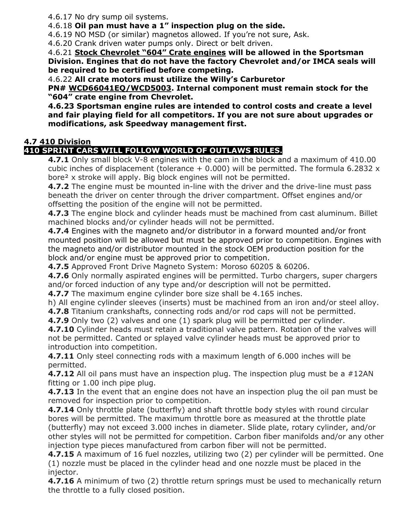4.6.17 No dry sump oil systems.

4.6.18 **Oil pan must have a 1" inspection plug on the side.**

4.6.19 NO MSD (or similar) magnetos allowed. If you're not sure, Ask.

4.6.20 Crank driven water pumps only. Direct or belt driven.

4.6.21 **Stock Chevrolet "604" Crate engines will be allowed in the Sportsman Division. Engines that do not have the factory Chevrolet and/or IMCA seals will be required to be certified before competing.** 

4.6.22 **All crate motors must utilize the Willy's Carburetor** 

**PN# WCD66041EQ/WCD5003. Internal component must remain stock for the "604" crate engine from Chevrolet.**

**4.6.23 Sportsman engine rules are intended to control costs and create a level and fair playing field for all competitors. If you are not sure about upgrades or modifications, ask Speedway management first.**

#### **4.7 410 Division**

#### **410 SPRINT CARS WILL FOLLOW WORLD OF OUTLAWS RULES.**

**4.7.1** Only small block V-8 engines with the cam in the block and a maximum of 410.00 cubic inches of displacement (tolerance  $+$  0.000) will be permitted. The formula 6.2832  $\times$ bore² x stroke will apply. Big block engines will not be permitted.

**4.7.2** The engine must be mounted in-line with the driver and the drive-line must pass beneath the driver on center through the driver compartment. Offset engines and/or offsetting the position of the engine will not be permitted.

**4.7.3** The engine block and cylinder heads must be machined from cast aluminum. Billet machined blocks and/or cylinder heads will not be permitted.

**4.7.4** Engines with the magneto and/or distributor in a forward mounted and/or front mounted position will be allowed but must be approved prior to competition. Engines with the magneto and/or distributor mounted in the stock OEM production position for the block and/or engine must be approved prior to competition.

**4.7.5** Approved Front Drive Magneto System: Moroso 60205 & 60206.

**4.7.6** Only normally aspirated engines will be permitted. Turbo chargers, super chargers and/or forced induction of any type and/or description will not be permitted.

**4.7.7** The maximum engine cylinder bore size shall be 4.165 inches.

h) All engine cylinder sleeves (inserts) must be machined from an iron and/or steel alloy.

**4.7.8** Titanium crankshafts, connecting rods and/or rod caps will not be permitted.

**4.7.9** Only two (2) valves and one (1) spark plug will be permitted per cylinder.

**4.7.10** Cylinder heads must retain a traditional valve pattern. Rotation of the valves will not be permitted. Canted or splayed valve cylinder heads must be approved prior to introduction into competition.

**4.7.11** Only steel connecting rods with a maximum length of 6.000 inches will be permitted.

**4.7.12** All oil pans must have an inspection plug. The inspection plug must be a #12AN fitting or 1.00 inch pipe plug.

**4.7.13** In the event that an engine does not have an inspection plug the oil pan must be removed for inspection prior to competition.

**4.7.14** Only throttle plate (butterfly) and shaft throttle body styles with round circular bores will be permitted. The maximum throttle bore as measured at the throttle plate (butterfly) may not exceed 3.000 inches in diameter. Slide plate, rotary cylinder, and/or other styles will not be permitted for competition. Carbon fiber manifolds and/or any other injection type pieces manufactured from carbon fiber will not be permitted.

**4.7.15** A maximum of 16 fuel nozzles, utilizing two (2) per cylinder will be permitted. One (1) nozzle must be placed in the cylinder head and one nozzle must be placed in the injector.

**4.7.16** A minimum of two (2) throttle return springs must be used to mechanically return the throttle to a fully closed position.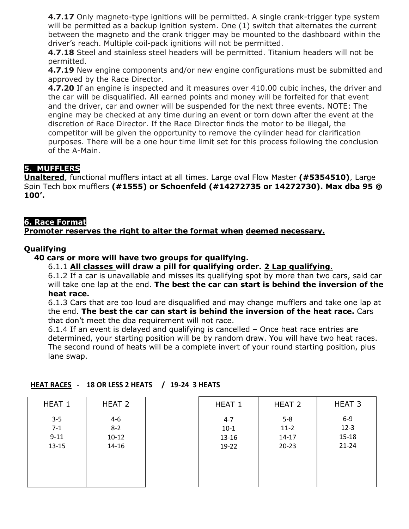**4.7.17** Only magneto-type ignitions will be permitted. A single crank-trigger type system will be permitted as a backup ignition system. One (1) switch that alternates the current between the magneto and the crank trigger may be mounted to the dashboard within the driver's reach. Multiple coil-pack ignitions will not be permitted.

**4.7.18** Steel and stainless steel headers will be permitted. Titanium headers will not be permitted.

**4.7.19** New engine components and/or new engine configurations must be submitted and approved by the Race Director.

**4.7.20** If an engine is inspected and it measures over 410.00 cubic inches, the driver and the car will be disqualified. All earned points and money will be forfeited for that event and the driver, car and owner will be suspended for the next three events. NOTE: The engine may be checked at any time during an event or torn down after the event at the discretion of Race Director. If the Race Director finds the motor to be illegal, the competitor will be given the opportunity to remove the cylinder head for clarification purposes. There will be a one hour time limit set for this process following the conclusion of the A-Main.

#### **5. MUFFLERS**

**Unaltered**, functional mufflers intact at all times. Large oval Flow Master **(#5354510)**, Large Spin Tech box mufflers **(#1555) or Schoenfeld (#14272735 or 14272730). Max dba 95 @ 100'.** 

#### **6. Race Format**

#### **Promoter reserves the right to alter the format when deemed necessary.**

#### **Qualifying**

#### **40 cars or more will have two groups for qualifying.**

6.1.1 **All classes will draw a pill for qualifying order. 2 Lap qualifying.**

6.1.2 If a car is unavailable and misses its qualifying spot by more than two cars, said car will take one lap at the end. **The best the car can start is behind the inversion of the heat race.** 

6.1.3 Cars that are too loud are disqualified and may change mufflers and take one lap at the end. **The best the car can start is behind the inversion of the heat race.** Cars that don't meet the dba requirement will not race.

6.1.4 If an event is delayed and qualifying is cancelled – Once heat race entries are determined, your starting position will be by random draw. You will have two heat races. The second round of heats will be a complete invert of your round starting position, plus lane swap.

| HEAT 1    | HEAT 2    | HEAT 1  | HEAT <sub>2</sub> | HEAT <sub>3</sub> |
|-----------|-----------|---------|-------------------|-------------------|
| $3 - 5$   | $4-6$     | $4 - 7$ | $5 - 8$           | $6-9$             |
| $7 - 1$   | $8 - 2$   | $10-1$  | $11-2$            | $12 - 3$          |
| $9 - 11$  | $10 - 12$ | 13-16   | $14 - 17$         | $15 - 18$         |
| $13 - 15$ | 14-16     | 19-22   | $20 - 23$         | $21 - 24$         |

#### **HEAT RACES - 18 OR LESS 2 HEATS / 19-24 3 HEATS**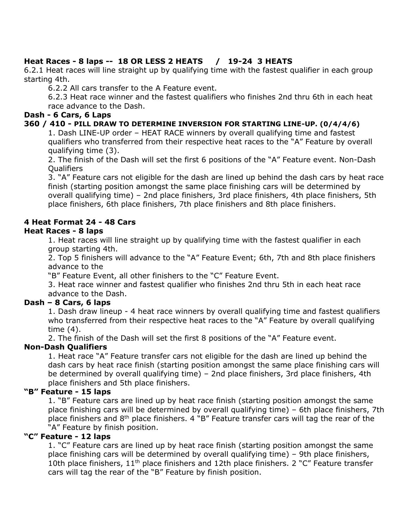#### **Heat Races - 8 laps -- 18 OR LESS 2 HEATS / 19-24 3 HEATS**

6.2.1 Heat races will line straight up by qualifying time with the fastest qualifier in each group starting 4th.

6.2.2 All cars transfer to the A Feature event.

6.2.3 Heat race winner and the fastest qualifiers who finishes 2nd thru 6th in each heat race advance to the Dash.

#### **Dash - 6 Cars, 6 Laps**

#### **360 / 410 - PILL DRAW TO DETERMINE INVERSION FOR STARTING LINE-UP. (0/4/4/6)**

1. Dash LINE-UP order – HEAT RACE winners by overall qualifying time and fastest qualifiers who transferred from their respective heat races to the "A" Feature by overall qualifying time (3).

2. The finish of the Dash will set the first 6 positions of the "A" Feature event. Non-Dash **Oualifiers** 

3. "A" Feature cars not eligible for the dash are lined up behind the dash cars by heat race finish (starting position amongst the same place finishing cars will be determined by overall qualifying time) – 2nd place finishers, 3rd place finishers, 4th place finishers, 5th place finishers, 6th place finishers, 7th place finishers and 8th place finishers.

#### **4 Heat Format 24 - 48 Cars**

#### **Heat Races - 8 laps**

1. Heat races will line straight up by qualifying time with the fastest qualifier in each group starting 4th.

2. Top 5 finishers will advance to the "A" Feature Event; 6th, 7th and 8th place finishers advance to the

"B" Feature Event, all other finishers to the "C" Feature Event.

3. Heat race winner and fastest qualifier who finishes 2nd thru 5th in each heat race advance to the Dash.

#### **Dash – 8 Cars, 6 laps**

1. Dash draw lineup - 4 heat race winners by overall qualifying time and fastest qualifiers who transferred from their respective heat races to the "A" Feature by overall qualifying time (4).

2. The finish of the Dash will set the first 8 positions of the "A" Feature event.

#### **Non-Dash Qualifiers**

1. Heat race "A" Feature transfer cars not eligible for the dash are lined up behind the dash cars by heat race finish (starting position amongst the same place finishing cars will be determined by overall qualifying time) – 2nd place finishers, 3rd place finishers, 4th place finishers and 5th place finishers.

#### **"B" Feature - 15 laps**

1. "B" Feature cars are lined up by heat race finish (starting position amongst the same place finishing cars will be determined by overall qualifying time) – 6th place finishers, 7th place finishers and 8<sup>th</sup> place finishers. 4 "B" Feature transfer cars will tag the rear of the "A" Feature by finish position.

#### **"C" Feature - 12 laps**

1. "C" Feature cars are lined up by heat race finish (starting position amongst the same place finishing cars will be determined by overall qualifying time) – 9th place finishers, 10th place finishers,  $11<sup>th</sup>$  place finishers and 12th place finishers. 2 "C" Feature transfer cars will tag the rear of the "B" Feature by finish position.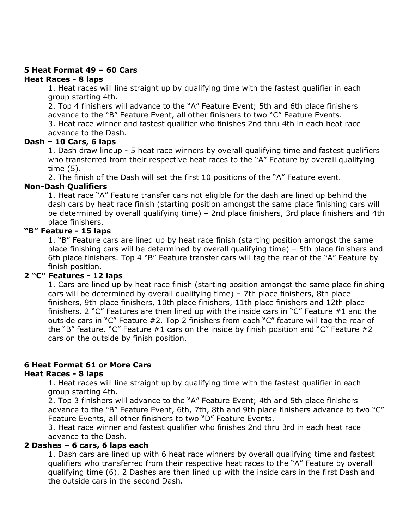#### **5 Heat Format 49 – 60 Cars**

#### **Heat Races - 8 laps**

1. Heat races will line straight up by qualifying time with the fastest qualifier in each group starting 4th.

2. Top 4 finishers will advance to the "A" Feature Event; 5th and 6th place finishers advance to the "B" Feature Event, all other finishers to two "C" Feature Events.

3. Heat race winner and fastest qualifier who finishes 2nd thru 4th in each heat race advance to the Dash.

#### **Dash – 10 Cars, 6 laps**

1. Dash draw lineup - 5 heat race winners by overall qualifying time and fastest qualifiers who transferred from their respective heat races to the "A" Feature by overall qualifying time (5).

2. The finish of the Dash will set the first 10 positions of the "A" Feature event.

#### **Non-Dash Qualifiers**

1. Heat race "A" Feature transfer cars not eligible for the dash are lined up behind the dash cars by heat race finish (starting position amongst the same place finishing cars will be determined by overall qualifying time) – 2nd place finishers, 3rd place finishers and 4th place finishers.

#### **"B" Feature - 15 laps**

1. "B" Feature cars are lined up by heat race finish (starting position amongst the same place finishing cars will be determined by overall qualifying time) – 5th place finishers and 6th place finishers. Top 4 "B" Feature transfer cars will tag the rear of the "A" Feature by finish position.

#### **2 "C" Features - 12 laps**

1. Cars are lined up by heat race finish (starting position amongst the same place finishing cars will be determined by overall qualifying time) – 7th place finishers, 8th place finishers, 9th place finishers, 10th place finishers, 11th place finishers and 12th place finishers. 2 "C" Features are then lined up with the inside cars in "C" Feature #1 and the outside cars in "C" Feature #2. Top 2 finishers from each "C" feature will tag the rear of the "B" feature. "C" Feature  $#1$  cars on the inside by finish position and "C" Feature  $#2$ cars on the outside by finish position.

#### **6 Heat Format 61 or More Cars**

#### **Heat Races - 8 laps**

1. Heat races will line straight up by qualifying time with the fastest qualifier in each group starting 4th.

2. Top 3 finishers will advance to the "A" Feature Event; 4th and 5th place finishers advance to the "B" Feature Event, 6th, 7th, 8th and 9th place finishers advance to two "C" Feature Events, all other finishers to two "D" Feature Events.

3. Heat race winner and fastest qualifier who finishes 2nd thru 3rd in each heat race advance to the Dash.

#### **2 Dashes – 6 cars, 6 laps each**

1. Dash cars are lined up with 6 heat race winners by overall qualifying time and fastest qualifiers who transferred from their respective heat races to the "A" Feature by overall qualifying time (6). 2 Dashes are then lined up with the inside cars in the first Dash and the outside cars in the second Dash.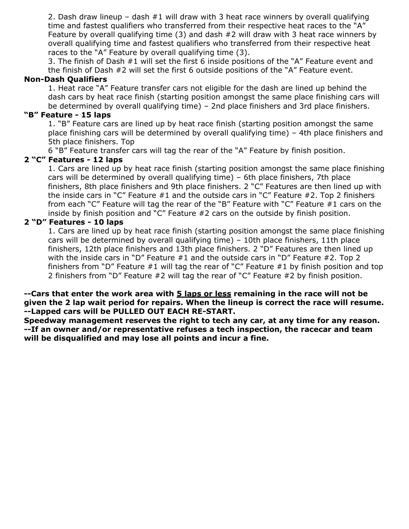2. Dash draw lineup – dash  $#1$  will draw with 3 heat race winners by overall qualifying time and fastest qualifiers who transferred from their respective heat races to the "A" Feature by overall qualifying time (3) and dash #2 will draw with 3 heat race winners by overall qualifying time and fastest qualifiers who transferred from their respective heat races to the "A" Feature by overall qualifying time (3).

3. The finish of Dash #1 will set the first 6 inside positions of the "A" Feature event and the finish of Dash #2 will set the first 6 outside positions of the "A" Feature event.

#### **Non-Dash Qualifiers**

1. Heat race "A" Feature transfer cars not eligible for the dash are lined up behind the dash cars by heat race finish (starting position amongst the same place finishing cars will be determined by overall qualifying time) – 2nd place finishers and 3rd place finishers.

#### **"B" Feature - 15 laps**

1. "B" Feature cars are lined up by heat race finish (starting position amongst the same place finishing cars will be determined by overall qualifying time) – 4th place finishers and 5th place finishers. Top

6 "B" Feature transfer cars will tag the rear of the "A" Feature by finish position.

#### **2 "C" Features - 12 laps**

1. Cars are lined up by heat race finish (starting position amongst the same place finishing cars will be determined by overall qualifying time) – 6th place finishers, 7th place finishers, 8th place finishers and 9th place finishers. 2 "C" Features are then lined up with the inside cars in "C" Feature  $#1$  and the outside cars in "C" Feature  $#2$ . Top 2 finishers from each "C" Feature will tag the rear of the "B" Feature with "C" Feature #1 cars on the inside by finish position and "C" Feature #2 cars on the outside by finish position.

#### **2 "D" Features - 10 laps**

1. Cars are lined up by heat race finish (starting position amongst the same place finishing cars will be determined by overall qualifying time) – 10th place finishers, 11th place finishers, 12th place finishers and 13th place finishers. 2 "D" Features are then lined up with the inside cars in "D" Feature #1 and the outside cars in "D" Feature #2. Top 2 finishers from "D" Feature #1 will tag the rear of "C" Feature #1 by finish position and top 2 finishers from "D" Feature #2 will tag the rear of "C" Feature #2 by finish position.

#### **--Cars that enter the work area with 5 laps or less remaining in the race will not be given the 2 lap wait period for repairs. When the lineup is correct the race will resume. --Lapped cars will be PULLED OUT EACH RE-START.**

**Speedway management reserves the right to tech any car, at any time for any reason. --If an owner and/or representative refuses a tech inspection, the racecar and team will be disqualified and may lose all points and incur a fine.**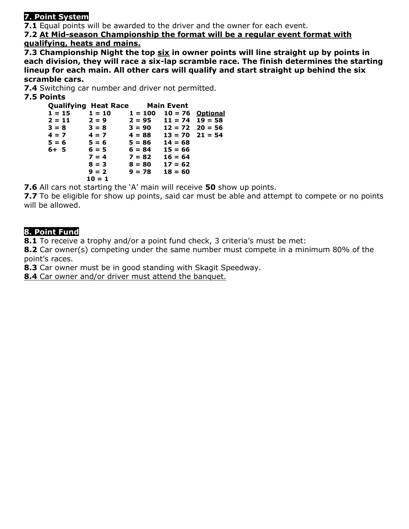#### **7. Point System**

**7.1** Equal points will be awarded to the driver and the owner for each event.

**7.2 At Mid-season Championship the format will be a regular event format with qualifying, heats and mains.**

**7.3 Championship Night the top six in owner points will line straight up by points in each division, they will race a six-lap scramble race. The finish determines the starting lineup for each main. All other cars will qualify and start straight up behind the six scramble cars.**

**7.4** Switching car number and driver not permitted.

#### **7.5 Points**

|          | <b>Qualifying Heat Race Main Event</b> |                              |                     |  |
|----------|----------------------------------------|------------------------------|---------------------|--|
| $1 = 15$ | $1 = 10$                               | $1 = 100$                    | $10 = 76$ Optional  |  |
| $2 = 11$ | $2 = 9$                                | $2 = 95$                     | $11 = 74$ $19 = 58$ |  |
| $3 = 8$  | $3 = 8$                                | $3 = 90$ $12 = 72$ $20 = 56$ |                     |  |
| $4 = 7$  | $4 = 7$                                | $4 = 88$                     | $13 = 70$ $21 = 54$ |  |
| $5 = 6$  | $5 = 6$                                | $5 = 86$                     | $14 = 68$           |  |
| $6+5$    | $6 = 5$                                | $6 = 84$                     | $15 = 66$           |  |
|          | $7 = 4$                                | $7 = 82$                     | $16 = 64$           |  |
|          | $8 = 3$                                | $8 = 80$                     | $17 = 62$           |  |
|          | $9 = 2$                                | $9 = 78$                     | $18 = 60$           |  |
|          | $10 = 1$                               |                              |                     |  |

**7.6** All cars not starting the 'A' main will receive **50** show up points.

**7.7** To be eligible for show up points, said car must be able and attempt to compete or no points will be allowed.

#### **8. Point Fund**

**8.1** To receive a trophy and/or a point fund check, 3 criteria's must be met:

**8.2** Car owner(s) competing under the same number must compete in a minimum 80% of the point's races.

**8.3** Car owner must be in good standing with Skagit Speedway.

**8.4** Car owner and/or driver must attend the banquet.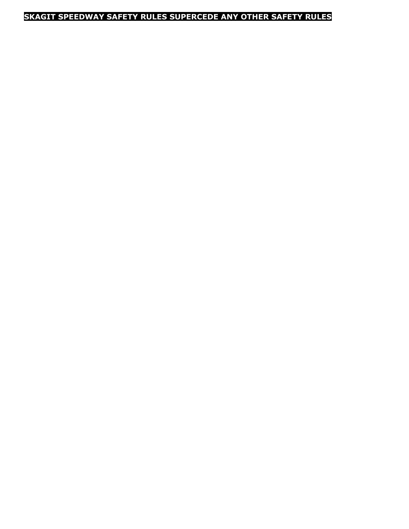### **SKAGIT SPEEDWAY SAFETY RULES SUPERCEDE ANY OTHER SAFETY RULES**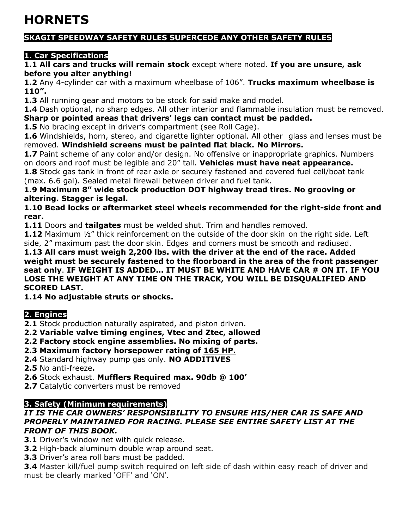## **HORNETS**

#### **SKAGIT SPEEDWAY SAFETY RULES SUPERCEDE ANY OTHER SAFETY RULES**

#### **1. Car Specifications**

**1.1 All cars and trucks will remain stock** except where noted. **If you are unsure, ask before you alter anything!** 

**1.2** Any 4-cylinder car with a maximum wheelbase of 106". **Trucks maximum wheelbase is 110".**

**1.3** All running gear and motors to be stock for said make and model.

**1.4** Dash optional, no sharp edges. All other interior and flammable insulation must be removed. **Sharp or pointed areas that drivers' legs can contact must be padded.**

**1.5** No bracing except in driver's compartment (see Roll Cage).

**1.6** Windshields, horn, stereo, and cigarette lighter optional. All other glass and lenses must be removed. **Windshield screens must be painted flat black. No Mirrors.**

**1.7** Paint scheme of any color and/or design. No offensive or inappropriate graphics. Numbers on doors and roof must be legible and 20" tall. **Vehicles must have neat appearance.** 

**1.8** Stock gas tank in front of rear axle or securely fastened and covered fuel cell/boat tank (max. 6.6 gal). Sealed metal firewall between driver and fuel tank.

**1.9 Maximum 8" wide stock production DOT highway tread tires. No grooving or altering. Stagger is legal.**

**1.10 Bead locks or aftermarket steel wheels recommended for the right-side front and rear.**

**1.11** Doors and **tailgates** must be welded shut. Trim and handles removed.

**1.12** Maximum ½" thick reinforcement on the outside of the door skin on the right side. Left side, 2" maximum past the door skin. Edges and corners must be smooth and radiused.

**1.13 All cars must weigh 2,200 lbs. with the driver at the end of the race. Added weight must be securely fastened to the floorboard in the area of the front passenger seat only**. **IF WEIGHT IS ADDED… IT MUST BE WHITE AND HAVE CAR # ON IT. IF YOU LOSE THE WEIGHT AT ANY TIME ON THE TRACK, YOU WILL BE DISQUALIFIED AND SCORED LAST.** 

**1.14 No adjustable struts or shocks.**

#### **2. Engines**

**2.1** Stock production naturally aspirated, and piston driven.

**2.2 Variable valve timing engines, Vtec and Ztec, allowed** 

**2.2 Factory stock engine assemblies. No mixing of parts.** 

**2.3 Maximum factory horsepower rating of 165 HP.**

**2.4** Standard highway pump gas only. **NO ADDITIVES** 

**2.5** No anti-freeze**.** 

**2.6** Stock exhaust. **Mufflers Required max. 90db @ 100'** 

**2.7** Catalytic converters must be removed

#### **3. Safety (Minimum requirements)**

#### *IT IS THE CAR OWNERS' RESPONSIBILITY TO ENSURE HIS/HER CAR IS SAFE AND PROPERLY MAINTAINED FOR RACING. PLEASE SEE ENTIRE SAFETY LIST AT THE FRONT OF THIS BOOK.*

**3.1** Driver's window net with quick release.

**3.2** High-back aluminum double wrap around seat.

**3.3** Driver's area roll bars must be padded.

**3.4** Master kill/fuel pump switch required on left side of dash within easy reach of driver and must be clearly marked 'OFF' and 'ON'.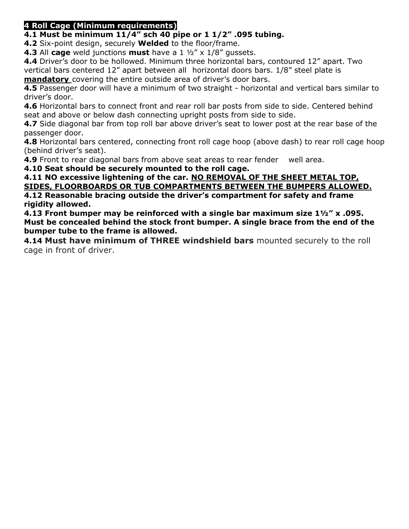#### **4 Roll Cage (Minimum requirements)**

**4.1 Must be minimum 11/4" sch 40 pipe or 1 1/2" .095 tubing.** 

**4.2** Six-point design, securely **Welded** to the floor/frame.

**4.3** All **cage** weld junctions **must** have a 1 ½" x 1/8" gussets.

**4.4** Driver's door to be hollowed. Minimum three horizontal bars, contoured 12" apart. Two vertical bars centered 12" apart between all horizontal doors bars. 1/8" steel plate is **mandatory** covering the entire outside area of driver's door bars.

**4.5** Passenger door will have a minimum of two straight - horizontal and vertical bars similar to driver's door.

**4.6** Horizontal bars to connect front and rear roll bar posts from side to side. Centered behind seat and above or below dash connecting upright posts from side to side.

**4.7** Side diagonal bar from top roll bar above driver's seat to lower post at the rear base of the passenger door.

**4.8** Horizontal bars centered, connecting front roll cage hoop (above dash) to rear roll cage hoop (behind driver's seat).

**4.9** Front to rear diagonal bars from above seat areas to rear fender well area.

**4.10 Seat should be securely mounted to the roll cage.** 

**4.11 NO excessive lightening of the car. NO REMOVAL OF THE SHEET METAL TOP, SIDES, FLOORBOARDS OR TUB COMPARTMENTS BETWEEN THE BUMPERS ALLOWED. 4.12 Reasonable bracing outside the driver's compartment for safety and frame** 

**rigidity allowed.** 

**4.13 Front bumper may be reinforced with a single bar maximum size 1½" x .095. Must be concealed behind the stock front bumper. A single brace from the end of the bumper tube to the frame is allowed.** 

**4.14 Must have minimum of THREE windshield bars** mounted securely to the roll cage in front of driver.